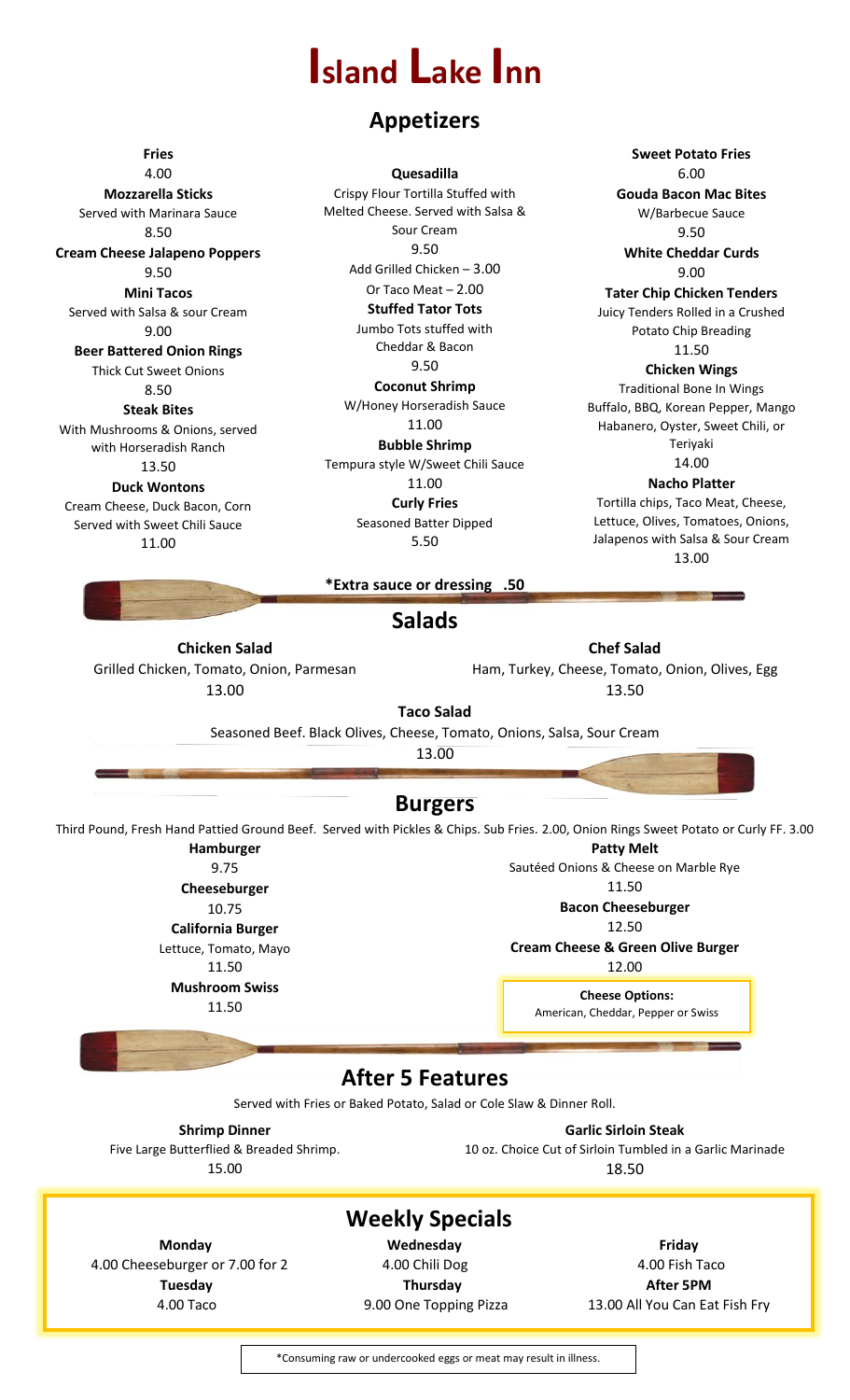## **Island Lake Inn**

### **Appetizers**

**Fries**

4.00 **Mozzarella Sticks** Served with Marinara Sauce 8.50 **Cream Cheese Jalapeno Poppers** 9.50 **Mini Tacos** Served with Salsa & sour Cream 9.00 **Beer Battered Onion Rings** Thick Cut Sweet Onions 8.50 **Steak Bites** With Mushrooms & Onions, served with Horseradish Ranch 13.50 **Duck Wontons** Cream Cheese, Duck Bacon, Corn Served with Sweet Chili Sauce

11.00

**Quesadilla** Crispy Flour Tortilla Stuffed with Melted Cheese. Served with Salsa & Sour Cream 9.50 Add Grilled Chicken – 3.00 Or Taco Meat – 2.00 **Stuffed Tator Tots** Jumbo Tots stuffed with Cheddar & Bacon 9.50 **Coconut Shrimp** W/Honey Horseradish Sauce 11.00 **Bubble Shrimp** Tempura style W/Sweet Chili Sauce 11.00

**Curly Fries** Seasoned Batter Dipped 5.50

**Sweet Potato Fries** 6.00 **Gouda Bacon Mac Bites** W/Barbecue Sauce 9.50 **White Cheddar Curds** 9.00 **Tater Chip Chicken Tenders** Juicy Tenders Rolled in a Crushed Potato Chip Breading 11.50 **Chicken Wings** Traditional Bone In Wings Buffalo, BBQ, Korean Pepper, Mango Habanero, Oyster, Sweet Chili, or Teriyaki 14.00 **Nacho Platter**

Tortilla chips, Taco Meat, Cheese, Lettuce, Olives, Tomatoes, Onions, Jalapenos with Salsa & Sour Cream 13.00

**\*Extra sauce or dressing .50**

### **Salads**

**Chicken Salad** Grilled Chicken, Tomato, Onion, Parmesan 13.00

Ham, Turkey, Cheese, Tomato, Onion, Olives, Egg 13.50

**Chef Salad**

**Taco Salad** Seasoned Beef. Black Olives, Cheese, Tomato, Onions, Salsa, Sour Cream

13.00

### **Burgers**

Third Pound, Fresh Hand Pattied Ground Beef. Served with Pickles & Chips. Sub Fries. 2.00, Onion Rings Sweet Potato or Curly FF. 3.00 **Hamburger**

> 9.75 **Cheeseburger** 10.75 **California Burger** Lettuce, Tomato, Mayo 11.50 **Mushroom Swiss**

11.50

**Patty Melt**

Sautéed Onions & Cheese on Marble Rye

11.50

**Bacon Cheeseburger**

12.50 **Cream Cheese & Green Olive Burger**

12.00

**Cheese Options:** American, Cheddar, Pepper or Swiss

### **After 5 Features**

Served with Fries or Baked Potato, Salad or Cole Slaw & Dinner Roll.

**Shrimp Dinner** Five Large Butterflied & Breaded Shrimp. 15.00

**Garlic Sirloin Steak** 10 oz. Choice Cut of Sirloin Tumbled in a Garlic Marinade

18.50

## **Weekly Specials**

4.00 Cheeseburger or 7.00 for 2 4.00 Chili Dog 4.00 Chili Dog 4.00 Fish Taco

**Monday Wednesday Friday Tuesday Community Thursday Thursday After 5PM** 

4.00 Taco 9.00 One Topping Pizza 13.00 All You Can Eat Fish Fry

\*Consuming raw or undercooked eggs or meat may result in illness.